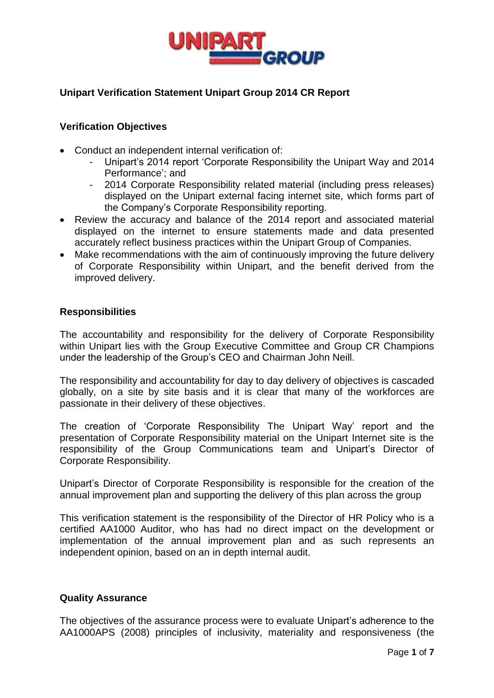

# **Unipart Verification Statement Unipart Group 2014 CR Report**

## **Verification Objectives**

- Conduct an independent internal verification of:
	- Unipart's 2014 report 'Corporate Responsibility the Unipart Way and 2014 Performance'; and
	- 2014 Corporate Responsibility related material (including press releases) displayed on the Unipart external facing internet site, which forms part of the Company's Corporate Responsibility reporting.
- Review the accuracy and balance of the 2014 report and associated material displayed on the internet to ensure statements made and data presented accurately reflect business practices within the Unipart Group of Companies.
- Make recommendations with the aim of continuously improving the future delivery of Corporate Responsibility within Unipart, and the benefit derived from the improved delivery.

### **Responsibilities**

The accountability and responsibility for the delivery of Corporate Responsibility within Unipart lies with the Group Executive Committee and Group CR Champions under the leadership of the Group's CEO and Chairman John Neill.

The responsibility and accountability for day to day delivery of objectives is cascaded globally, on a site by site basis and it is clear that many of the workforces are passionate in their delivery of these objectives.

The creation of 'Corporate Responsibility The Unipart Way' report and the presentation of Corporate Responsibility material on the Unipart Internet site is the responsibility of the Group Communications team and Unipart's Director of Corporate Responsibility.

Unipart's Director of Corporate Responsibility is responsible for the creation of the annual improvement plan and supporting the delivery of this plan across the group

This verification statement is the responsibility of the Director of HR Policy who is a certified AA1000 Auditor, who has had no direct impact on the development or implementation of the annual improvement plan and as such represents an independent opinion, based on an in depth internal audit.

# **Quality Assurance**

The objectives of the assurance process were to evaluate Unipart's adherence to the AA1000APS (2008) principles of inclusivity, materiality and responsiveness (the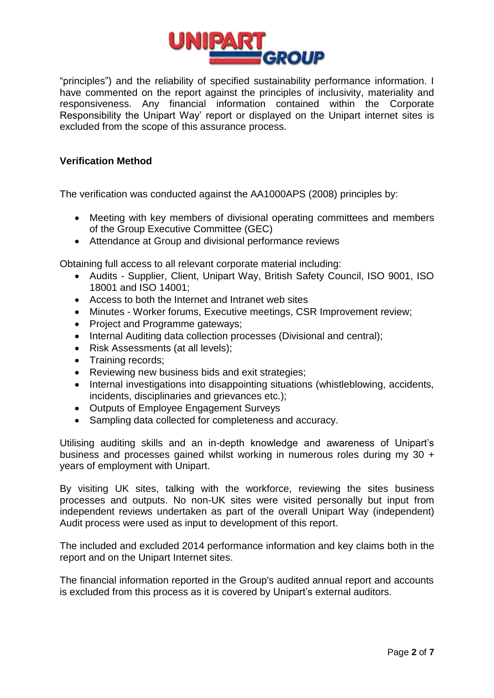

"principles") and the reliability of specified sustainability performance information. I have commented on the report against the principles of inclusivity, materiality and responsiveness. Any financial information contained within the Corporate Responsibility the Unipart Way' report or displayed on the Unipart internet sites is excluded from the scope of this assurance process.

## **Verification Method**

The verification was conducted against the AA1000APS (2008) principles by:

- Meeting with key members of divisional operating committees and members of the Group Executive Committee (GEC)
- Attendance at Group and divisional performance reviews

Obtaining full access to all relevant corporate material including:

- Audits Supplier, Client, Unipart Way, British Safety Council, ISO 9001, ISO 18001 and ISO 14001;
- Access to both the Internet and Intranet web sites
- Minutes Worker forums, Executive meetings, CSR Improvement review;
- Project and Programme gateways;
- Internal Auditing data collection processes (Divisional and central);
- Risk Assessments (at all levels);
- Training records:
- Reviewing new business bids and exit strategies;
- Internal investigations into disappointing situations (whistleblowing, accidents, incidents, disciplinaries and grievances etc.);
- Outputs of Employee Engagement Surveys
- Sampling data collected for completeness and accuracy.

Utilising auditing skills and an in-depth knowledge and awareness of Unipart's business and processes gained whilst working in numerous roles during my 30 + years of employment with Unipart.

By visiting UK sites, talking with the workforce, reviewing the sites business processes and outputs. No non-UK sites were visited personally but input from independent reviews undertaken as part of the overall Unipart Way (independent) Audit process were used as input to development of this report.

The included and excluded 2014 performance information and key claims both in the report and on the Unipart Internet sites.

The financial information reported in the Group's audited annual report and accounts is excluded from this process as it is covered by Unipart's external auditors.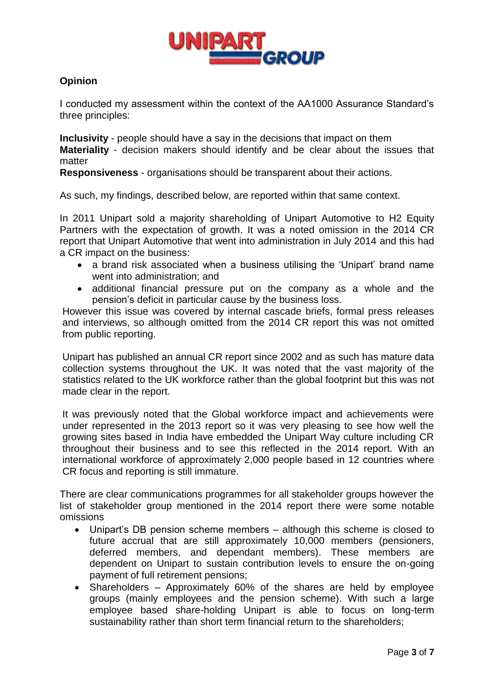

# **Opinion**

I conducted my assessment within the context of the AA1000 Assurance Standard's three principles:

**Inclusivity** - people should have a say in the decisions that impact on them **Materiality** - decision makers should identify and be clear about the issues that matter

**Responsiveness** - organisations should be transparent about their actions.

As such, my findings, described below, are reported within that same context.

In 2011 Unipart sold a majority shareholding of Unipart Automotive to H2 Equity Partners with the expectation of growth. It was a noted omission in the 2014 CR report that Unipart Automotive that went into administration in July 2014 and this had a CR impact on the business:

- a brand risk associated when a business utilising the 'Unipart' brand name went into administration; and
- additional financial pressure put on the company as a whole and the pension's deficit in particular cause by the business loss.

However this issue was covered by internal cascade briefs, formal press releases and interviews, so although omitted from the 2014 CR report this was not omitted from public reporting.

Unipart has published an annual CR report since 2002 and as such has mature data collection systems throughout the UK. It was noted that the vast majority of the statistics related to the UK workforce rather than the global footprint but this was not made clear in the report.

It was previously noted that the Global workforce impact and achievements were under represented in the 2013 report so it was very pleasing to see how well the growing sites based in India have embedded the Unipart Way culture including CR throughout their business and to see this reflected in the 2014 report. With an international workforce of approximately 2,000 people based in 12 countries where CR focus and reporting is still immature.

There are clear communications programmes for all stakeholder groups however the list of stakeholder group mentioned in the 2014 report there were some notable omissions

- Unipart's DB pension scheme members although this scheme is closed to future accrual that are still approximately 10,000 members (pensioners, deferred members, and dependant members). These members are dependent on Unipart to sustain contribution levels to ensure the on-going payment of full retirement pensions;
- Shareholders Approximately 60% of the shares are held by employee groups (mainly employees and the pension scheme). With such a large employee based share-holding Unipart is able to focus on long-term sustainability rather than short term financial return to the shareholders;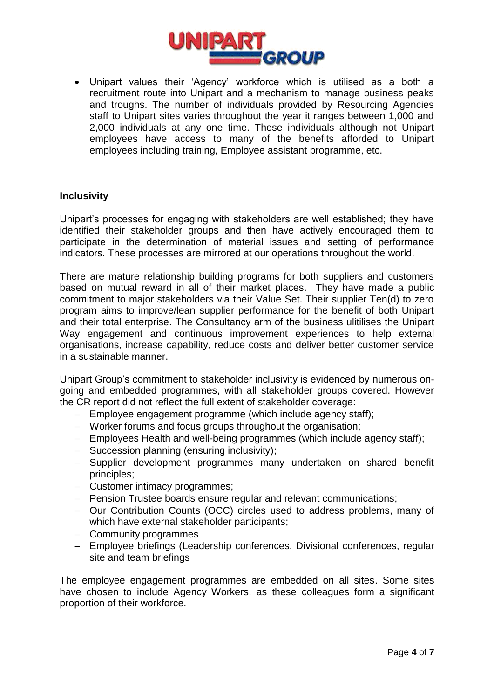

 Unipart values their 'Agency' workforce which is utilised as a both a recruitment route into Unipart and a mechanism to manage business peaks and troughs. The number of individuals provided by Resourcing Agencies staff to Unipart sites varies throughout the year it ranges between 1,000 and 2,000 individuals at any one time. These individuals although not Unipart employees have access to many of the benefits afforded to Unipart employees including training, Employee assistant programme, etc.

#### **Inclusivity**

Unipart's processes for engaging with stakeholders are well established; they have identified their stakeholder groups and then have actively encouraged them to participate in the determination of material issues and setting of performance indicators. These processes are mirrored at our operations throughout the world.

There are mature relationship building programs for both suppliers and customers based on mutual reward in all of their market places. They have made a public commitment to major stakeholders via their Value Set. Their supplier Ten(d) to zero program aims to improve/lean supplier performance for the benefit of both Unipart and their total enterprise. The Consultancy arm of the business ulitilises the Unipart Way engagement and continuous improvement experiences to help external organisations, increase capability, reduce costs and deliver better customer service in a sustainable manner.

Unipart Group's commitment to stakeholder inclusivity is evidenced by numerous ongoing and embedded programmes, with all stakeholder groups covered. However the CR report did not reflect the full extent of stakeholder coverage:

- Employee engagement programme (which include agency staff);
- Worker forums and focus groups throughout the organisation;
- Employees Health and well-being programmes (which include agency staff);
- Succession planning (ensuring inclusivity):
- Supplier development programmes many undertaken on shared benefit principles;
- Customer intimacy programmes;
- Pension Trustee boards ensure regular and relevant communications;
- Our Contribution Counts (OCC) circles used to address problems, many of which have external stakeholder participants;
- Community programmes
- Employee briefings (Leadership conferences, Divisional conferences, regular site and team briefings

The employee engagement programmes are embedded on all sites. Some sites have chosen to include Agency Workers, as these colleagues form a significant proportion of their workforce.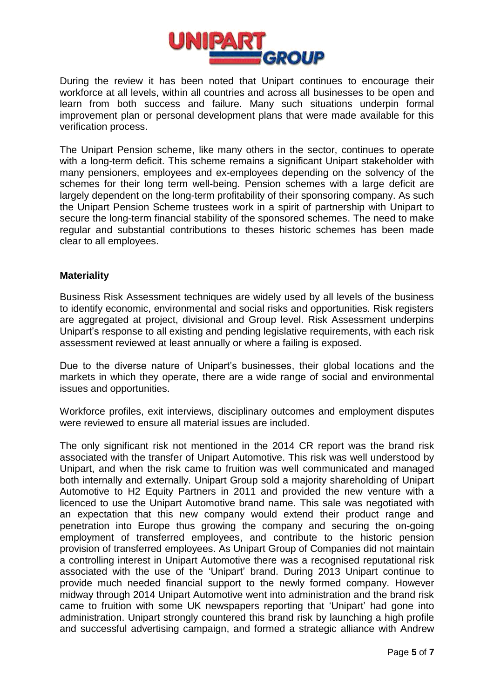

During the review it has been noted that Unipart continues to encourage their workforce at all levels, within all countries and across all businesses to be open and learn from both success and failure. Many such situations underpin formal improvement plan or personal development plans that were made available for this verification process.

The Unipart Pension scheme, like many others in the sector, continues to operate with a long-term deficit. This scheme remains a significant Unipart stakeholder with many pensioners, employees and ex-employees depending on the solvency of the schemes for their long term well-being. Pension schemes with a large deficit are largely dependent on the long-term profitability of their sponsoring company. As such the Unipart Pension Scheme trustees work in a spirit of partnership with Unipart to secure the long-term financial stability of the sponsored schemes. The need to make regular and substantial contributions to theses historic schemes has been made clear to all employees.

### **Materiality**

Business Risk Assessment techniques are widely used by all levels of the business to identify economic, environmental and social risks and opportunities. Risk registers are aggregated at project, divisional and Group level. Risk Assessment underpins Unipart's response to all existing and pending legislative requirements, with each risk assessment reviewed at least annually or where a failing is exposed.

Due to the diverse nature of Unipart's businesses, their global locations and the markets in which they operate, there are a wide range of social and environmental issues and opportunities.

Workforce profiles, exit interviews, disciplinary outcomes and employment disputes were reviewed to ensure all material issues are included.

The only significant risk not mentioned in the 2014 CR report was the brand risk associated with the transfer of Unipart Automotive. This risk was well understood by Unipart, and when the risk came to fruition was well communicated and managed both internally and externally. Unipart Group sold a majority shareholding of Unipart Automotive to H2 Equity Partners in 2011 and provided the new venture with a licenced to use the Unipart Automotive brand name. This sale was negotiated with an expectation that this new company would extend their product range and penetration into Europe thus growing the company and securing the on-going employment of transferred employees, and contribute to the historic pension provision of transferred employees. As Unipart Group of Companies did not maintain a controlling interest in Unipart Automotive there was a recognised reputational risk associated with the use of the 'Unipart' brand. During 2013 Unipart continue to provide much needed financial support to the newly formed company. However midway through 2014 Unipart Automotive went into administration and the brand risk came to fruition with some UK newspapers reporting that 'Unipart' had gone into administration. Unipart strongly countered this brand risk by launching a high profile and successful advertising campaign, and formed a strategic alliance with Andrew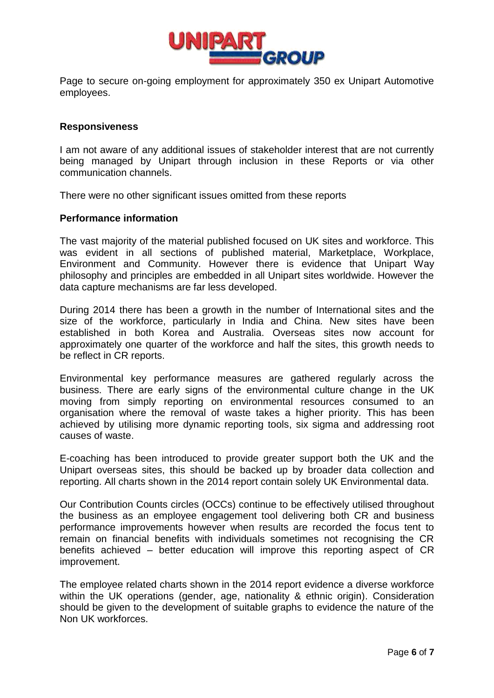

Page to secure on-going employment for approximately 350 ex Unipart Automotive employees.

### **Responsiveness**

I am not aware of any additional issues of stakeholder interest that are not currently being managed by Unipart through inclusion in these Reports or via other communication channels.

There were no other significant issues omitted from these reports

#### **Performance information**

The vast majority of the material published focused on UK sites and workforce. This was evident in all sections of published material, Marketplace, Workplace, Environment and Community. However there is evidence that Unipart Way philosophy and principles are embedded in all Unipart sites worldwide. However the data capture mechanisms are far less developed.

During 2014 there has been a growth in the number of International sites and the size of the workforce, particularly in India and China. New sites have been established in both Korea and Australia. Overseas sites now account for approximately one quarter of the workforce and half the sites, this growth needs to be reflect in CR reports.

Environmental key performance measures are gathered regularly across the business. There are early signs of the environmental culture change in the UK moving from simply reporting on environmental resources consumed to an organisation where the removal of waste takes a higher priority. This has been achieved by utilising more dynamic reporting tools, six sigma and addressing root causes of waste.

E-coaching has been introduced to provide greater support both the UK and the Unipart overseas sites, this should be backed up by broader data collection and reporting. All charts shown in the 2014 report contain solely UK Environmental data.

Our Contribution Counts circles (OCCs) continue to be effectively utilised throughout the business as an employee engagement tool delivering both CR and business performance improvements however when results are recorded the focus tent to remain on financial benefits with individuals sometimes not recognising the CR benefits achieved – better education will improve this reporting aspect of CR improvement.

The employee related charts shown in the 2014 report evidence a diverse workforce within the UK operations (gender, age, nationality & ethnic origin). Consideration should be given to the development of suitable graphs to evidence the nature of the Non UK workforces.